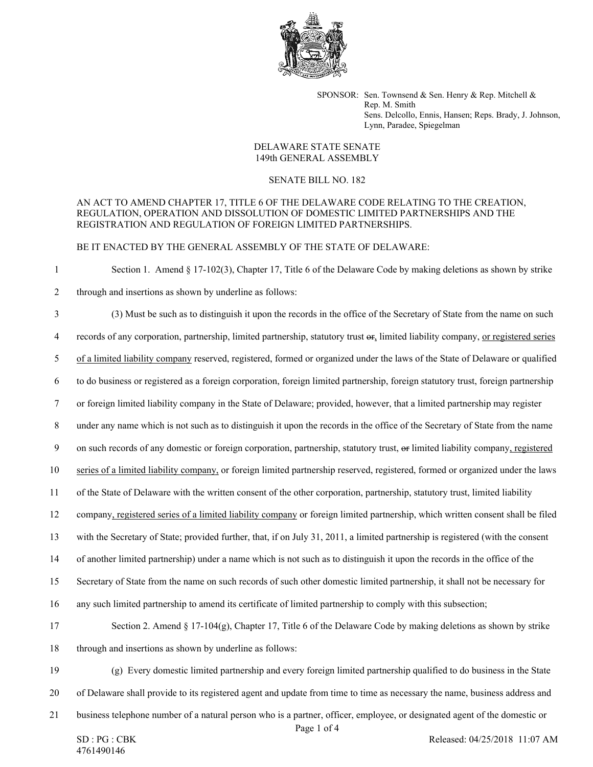

SPONSOR: Sen. Townsend & Sen. Henry & Rep. Mitchell & Rep. M. Smith Sens. Delcollo, Ennis, Hansen; Reps. Brady, J. Johnson, Lynn, Paradee, Spiegelman

## DELAWARE STATE SENATE 149th GENERAL ASSEMBLY

## SENATE BILL NO. 182

## AN ACT TO AMEND CHAPTER 17, TITLE 6 OF THE DELAWARE CODE RELATING TO THE CREATION, REGULATION, OPERATION AND DISSOLUTION OF DOMESTIC LIMITED PARTNERSHIPS AND THE REGISTRATION AND REGULATION OF FOREIGN LIMITED PARTNERSHIPS.

BE IT ENACTED BY THE GENERAL ASSEMBLY OF THE STATE OF DELAWARE:

1 Section 1. Amend § 17-102(3), Chapter 17, Title 6 of the Delaware Code by making deletions as shown by strike 2 through and insertions as shown by underline as follows:

3 (3) Must be such as to distinguish it upon the records in the office of the Secretary of State from the name on such 4 records of any corporation, partnership, limited partnership, statutory trust or, limited liability company, or registered series 5 of a limited liability company reserved, registered, formed or organized under the laws of the State of Delaware or qualified 6 to do business or registered as a foreign corporation, foreign limited partnership, foreign statutory trust, foreign partnership 7 or foreign limited liability company in the State of Delaware; provided, however, that a limited partnership may register 8 under any name which is not such as to distinguish it upon the records in the office of the Secretary of State from the name 9 on such records of any domestic or foreign corporation, partnership, statutory trust, or limited liability company, registered 10 series of a limited liability company, or foreign limited partnership reserved, registered, formed or organized under the laws 11 of the State of Delaware with the written consent of the other corporation, partnership, statutory trust, limited liability 12 company, registered series of a limited liability company or foreign limited partnership, which written consent shall be filed 13 with the Secretary of State; provided further, that, if on July 31, 2011, a limited partnership is registered (with the consent 14 of another limited partnership) under a name which is not such as to distinguish it upon the records in the office of the 15 Secretary of State from the name on such records of such other domestic limited partnership, it shall not be necessary for 16 any such limited partnership to amend its certificate of limited partnership to comply with this subsection; 17 Section 2. Amend § 17-104(g), Chapter 17, Title 6 of the Delaware Code by making deletions as shown by strike 18 through and insertions as shown by underline as follows: 19 (g) Every domestic limited partnership and every foreign limited partnership qualified to do business in the State 20 of Delaware shall provide to its registered agent and update from time to time as necessary the name, business address and 21 business telephone number of a natural person who is a partner, officer, employee, or designated agent of the domestic or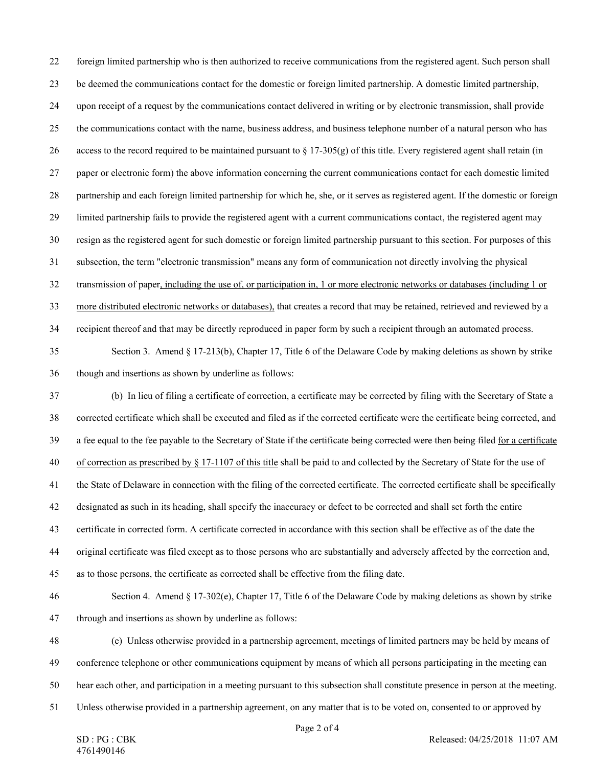Page 2 of 4 22 foreign limited partnership who is then authorized to receive communications from the registered agent. Such person shall 23 be deemed the communications contact for the domestic or foreign limited partnership. A domestic limited partnership, 24 upon receipt of a request by the communications contact delivered in writing or by electronic transmission, shall provide 25 the communications contact with the name, business address, and business telephone number of a natural person who has 26 access to the record required to be maintained pursuant to  $\S 17-305(g)$  of this title. Every registered agent shall retain (in 27 paper or electronic form) the above information concerning the current communications contact for each domestic limited 28 partnership and each foreign limited partnership for which he, she, or it serves as registered agent. If the domestic or foreign 29 limited partnership fails to provide the registered agent with a current communications contact, the registered agent may 30 resign as the registered agent for such domestic or foreign limited partnership pursuant to this section. For purposes of this 31 subsection, the term "electronic transmission" means any form of communication not directly involving the physical 32 transmission of paper, including the use of, or participation in, 1 or more electronic networks or databases (including 1 or 33 more distributed electronic networks or databases), that creates a record that may be retained, retrieved and reviewed by a 34 recipient thereof and that may be directly reproduced in paper form by such a recipient through an automated process. 35 Section 3. Amend § 17-213(b), Chapter 17, Title 6 of the Delaware Code by making deletions as shown by strike 36 though and insertions as shown by underline as follows: 37 (b) In lieu of filing a certificate of correction, a certificate may be corrected by filing with the Secretary of State a 38 corrected certificate which shall be executed and filed as if the corrected certificate were the certificate being corrected, and 39 a fee equal to the fee payable to the Secretary of State if the certificate being corrected were then being filed for a certificate 40 of correction as prescribed by § 17-1107 of this title shall be paid to and collected by the Secretary of State for the use of 41 the State of Delaware in connection with the filing of the corrected certificate. The corrected certificate shall be specifically 42 designated as such in its heading, shall specify the inaccuracy or defect to be corrected and shall set forth the entire 43 certificate in corrected form. A certificate corrected in accordance with this section shall be effective as of the date the 44 original certificate was filed except as to those persons who are substantially and adversely affected by the correction and, 45 as to those persons, the certificate as corrected shall be effective from the filing date. 46 Section 4. Amend § 17-302(e), Chapter 17, Title 6 of the Delaware Code by making deletions as shown by strike 47 through and insertions as shown by underline as follows: 48 (e) Unless otherwise provided in a partnership agreement, meetings of limited partners may be held by means of 49 conference telephone or other communications equipment by means of which all persons participating in the meeting can 50 hear each other, and participation in a meeting pursuant to this subsection shall constitute presence in person at the meeting. 51 Unless otherwise provided in a partnership agreement, on any matter that is to be voted on, consented to or approved by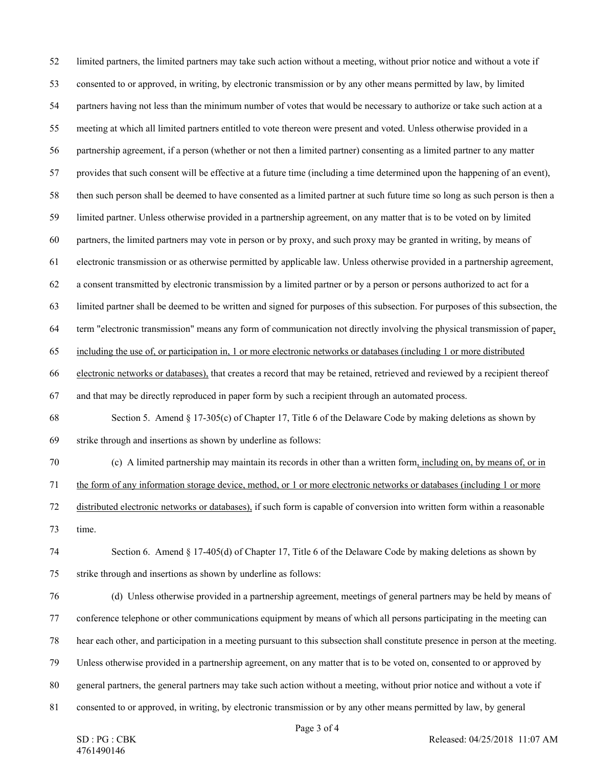Page 3 of 4 52 limited partners, the limited partners may take such action without a meeting, without prior notice and without a vote if 53 consented to or approved, in writing, by electronic transmission or by any other means permitted by law, by limited 54 partners having not less than the minimum number of votes that would be necessary to authorize or take such action at a 55 meeting at which all limited partners entitled to vote thereon were present and voted. Unless otherwise provided in a 56 partnership agreement, if a person (whether or not then a limited partner) consenting as a limited partner to any matter 57 provides that such consent will be effective at a future time (including a time determined upon the happening of an event), 58 then such person shall be deemed to have consented as a limited partner at such future time so long as such person is then a 59 limited partner. Unless otherwise provided in a partnership agreement, on any matter that is to be voted on by limited 60 partners, the limited partners may vote in person or by proxy, and such proxy may be granted in writing, by means of 61 electronic transmission or as otherwise permitted by applicable law. Unless otherwise provided in a partnership agreement, 62 a consent transmitted by electronic transmission by a limited partner or by a person or persons authorized to act for a 63 limited partner shall be deemed to be written and signed for purposes of this subsection. For purposes of this subsection, the 64 term "electronic transmission" means any form of communication not directly involving the physical transmission of paper, 65 including the use of, or participation in, 1 or more electronic networks or databases (including 1 or more distributed 66 electronic networks or databases), that creates a record that may be retained, retrieved and reviewed by a recipient thereof 67 and that may be directly reproduced in paper form by such a recipient through an automated process. 68 Section 5. Amend § 17-305(c) of Chapter 17, Title 6 of the Delaware Code by making deletions as shown by 69 strike through and insertions as shown by underline as follows: 70 (c) A limited partnership may maintain its records in other than a written form, including on, by means of, or in 71 the form of any information storage device, method, or 1 or more electronic networks or databases (including 1 or more 72 distributed electronic networks or databases), if such form is capable of conversion into written form within a reasonable 73 time. 74 Section 6. Amend § 17-405(d) of Chapter 17, Title 6 of the Delaware Code by making deletions as shown by 75 strike through and insertions as shown by underline as follows: 76 (d) Unless otherwise provided in a partnership agreement, meetings of general partners may be held by means of 77 conference telephone or other communications equipment by means of which all persons participating in the meeting can 78 hear each other, and participation in a meeting pursuant to this subsection shall constitute presence in person at the meeting. 79 Unless otherwise provided in a partnership agreement, on any matter that is to be voted on, consented to or approved by 80 general partners, the general partners may take such action without a meeting, without prior notice and without a vote if 81 consented to or approved, in writing, by electronic transmission or by any other means permitted by law, by general